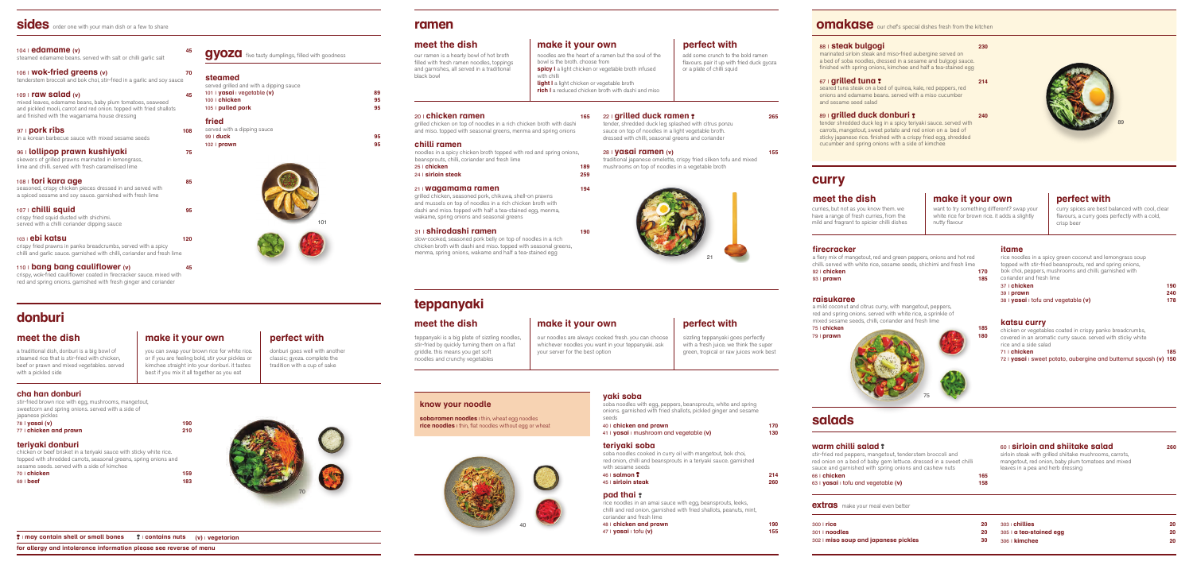## **yaki soba**

soba noodles with egg, peppers, beansprouts, white and spring onions. garnished with fried shallots, pickled ginger and sesame

seeds

| 40   chicken and prawn                    | 170 |
|-------------------------------------------|-----|
| $41$ I yasai I mushroom and vegetable (v) | 130 |

#### **teriyaki soba**

soba noodles cooked in curry oil with mangetout, bok choi, red onion, chilli and beansprouts in a teriyaki sauce. garnished

|  |  | 214 |
|--|--|-----|
|  |  | 260 |
|  |  |     |

with sesame seeds 46 | **salmon 214**

45 | **sirloin steak 260**

#### **pad thai**

rice noodles in an amai sauce with egg, beansprouts, leeks, chilli and red onion. garnished with fried shallots, peanuts, mint,

coriander and fresh lime

| coriander and fresh lime              |     |
|---------------------------------------|-----|
| 48   chicken and prawn                | 190 |
| 47   <b>yasai</b>   tofu ( <b>v</b> ) | 155 |

## **omakase** our chef's special dishes fresh from the kitchen



## **sides** order one with your main dish or a few to share

#### 107 | **chilli squid 95** crispy fried squid dusted with shichimi. served with a chilli coriander dipping sauce

| 104   edamame (v)<br>steamed edamame beans, served with salt or chilli garlic salt                                                                                                                        | 45  |
|-----------------------------------------------------------------------------------------------------------------------------------------------------------------------------------------------------------|-----|
| 106   Wok-fried greens (v)<br>tenderstem broccoli and bok choi, stir-fried in a garlic and soy sauce                                                                                                      | 70  |
| $109$   raw salad (v)<br>mixed leaves, edamame beans, baby plum tomatoes, seaweed<br>and pickled mooli, carrot and red onion. topped with fried shallots<br>and finished with the wagamama house dressing | 45  |
| 97   pork ribs<br>in a korean barbecue sauce with mixed sesame seeds                                                                                                                                      | 108 |
| oculallinan nrawn kuchiyaki                                                                                                                                                                               |     |

topped with shredded carrots, seasonal greens, spring onions and sesame seeds. served with a side of kimchee

#### 96 | **lollipop prawn kushiyaki 75** skewers of grilled prawns marinated in lemongrass, lime and chilli. served with fresh caramelised lime 108 | **tori kara age 85** seasoned, crispy chicken pieces dressed in and served with a spiced sesame and soy sauce. garnished with fresh lime

103 | **ebi katsu 120**

crispy fried prawns in panko breadcrumbs, served with a spicy chilli and garlic sauce. garnished with chilli, coriander and fresh lime grilled chicken, seasoned pork, chikuwa, shell-on prawns and mussels on top of noodles in a rich chicken broth with dashi and miso. topped with half a tea-stained egg, menma, wakame, spring onions and seasonal greens

#### 110 | **bang bang cauliflower (v) 45**

crispy, wok-fried cauliflower coated in firecracker sauce. mixed with red and spring onions. garnished with fresh ginger and coriander

# 101

#### **steamed** served grilled and with a dipping sauce 101 | **yasai** | vegetable **(v) 89** 100 | **chicken 95** 105 | **pulled pork 95 fried** served with a dipping sauce 99 | **duck 95**

102 | **prawn 95**

**donburi**

noodles are the heart of a ramen but the soul of the bowl is the broth. choose from **spicy** I a light chicken or vegetable broth infused with chilli **light** I a light chicken or vegetable broth **rich** I a reduced chicken broth with dashi and miso

#### 20 | **chicken ramen** 165

a traditional dish, donburi is a big bowl of steamed rice that is stir-fried with chicken, beef or prawn and mixed vegetables. served

### **cha han donburi**

with a pickled side

stir-fried brown rice with egg, mushrooms, mangetout, sweetcorn and spring onions. served with a side of japanese pickles

| 78   <b>yasai (v)</b>                                               | 190 |
|---------------------------------------------------------------------|-----|
| 77   chicken and prawn                                              | 210 |
| teriyaki donburi                                                    |     |
| chicken or beef brisket in a terivaki sauce with sticky white rice. |     |
| tonned with shredded carrots seasonal greens spring onions and      |     |

| SESAITE SEEUS, SEIVEU WILITA SIUE OF KIITICHEE |     |
|------------------------------------------------|-----|
| 70∣ <b>chicken</b>                             | 159 |
| 69   <b>beef</b>                               | 183 |
|                                                |     |

you can swap your brown rice for white rice. or if you are feeling bold, stir your pickles or kimchee straight into your donburi. it tastes best if you mix it all together as you eat

**meet the dish**  make it your own perfect with

**gyoza** five tasty dumplings, filled with goodness

#### | **may contain shell or small bones** | **contains nuts (v)** | **vegetarian**

**for allergy and intolerance information please see reverse of menu**

grilled chicken on top of noodles in a rich chicken broth with dashi and miso. topped with seasonal greens, menma and spring onions

#### **chilli ramen**

noodles in a spicy chicken broth topped with red and spring onions, beansprouts, chilli, coriander and fresh lime

25 | **chicken 189** 24 | **sirloin steak 259**

#### 21 | **wagamama ramen 194**

#### 31 | **shirodashi ramen 190**

slow-cooked, seasoned pork belly on top of noodles in a rich chicken broth with dashi and miso. topped with seasonal greens, menma, spring onions, wakame and half a tea-stained egg

#### 22 | **grilled duck ramen 265**

tender, shredded duck leg splashed with citrus ponzu sauce on top of noodles in a light vegetable broth. dressed with chilli, seasonal greens and coriander

#### 28 | **yasai ramen (v) 155**

traditional japanese omelette, crispy fried silken tofu and mixed mushrooms on top of noodles in a vegetable broth





# **ramen**

## **meet the dish**

our ramen is a hearty bowl of hot broth filled with fresh ramen noodles, toppings and garnishes, all served in a traditional black bowl

## **make it your own**

# **teppanyaki**

## **meet the dish**

teppanyaki is a big plate of sizzling noodles, stir-fried by quickly turning them on a flat griddle. this means you get soft noodles and crunchy vegetables

### **make it your own**

our noodles are always cooked fresh. you can choose whichever noodles you want in your teppanyaki. ask your server for the best option



| 300   <b>rice</b>                           | 20 | $303$ chillies                 | 20 |
|---------------------------------------------|----|--------------------------------|----|
| 301   <b>noodles</b>                        | 20 | 305   <b>a tea-stained egg</b> | 20 |
| 302   <b>miso soup and japanese pickles</b> | 30 | $306$ $\mid$ kimchee           | 20 |
|                                             |    |                                |    |

# **salads**

## **warm chilli salad**

stir-fried red peppers, mangetout, tenderstem broccoli and red onion on a bed of baby gem lettuce. dressed in a sweet chilli sauce and garnished with spring onions and cashew nuts 66 | **chicken 165** 63 | **yasai** | tofu and vegetable **(v) 158**

#### **extras** make your meal even better

60 | **sirloin and shiitake salad 260** sirloin steak with grilled shiitake mushrooms, carrots, mangetout, red onion, baby plum tomatoes and mixed leaves in a pea and herb dressing

#### **firecracker**

a fiery mix of mangetout, red and green peppers, onions and hot red chilli. served with white rice, sesame seeds, shichimi and fresh lime

92 | **chicken 170**

93 | **prawn 185**

#### **raisukaree**

a mild coconut and citrus curry, with mangetout, peppers, red and spring onions. served with white rice, a sprinkle of mixed sesame seeds, chilli, coriander and fresh lime

#### 75 | **chicken 185** 79 | **prawn 180**

#### **itame**

| rice noodles in a spicy green coconut and lemongrass soup  |     |
|------------------------------------------------------------|-----|
| topped with stir-fried beansprouts, red and spring onions, |     |
| bok choi, peppers, mushrooms and chilli. garnished with    |     |
| coriander and fresh lime                                   |     |
| 37   chicken                                               | 190 |
| 39   prawn                                                 | 240 |
| $38   y$ asai I tofu and vegetable (v)                     | 178 |
|                                                            |     |

#### **katsu curry**

| chicken or vegetables coated in crispy panko breadcrumbs,           |     |
|---------------------------------------------------------------------|-----|
| covered in an aromatic curry sauce, served with sticky white        |     |
| rice and a side salad                                               |     |
| $71  $ chicken                                                      | 185 |
| $72$ I yasai I sweet potato, aubergine and butternut squash (v) 150 |     |

|     | katsu      |
|-----|------------|
| 185 | chicken o  |
| 180 | covered ir |
|     | rice and a |

|   | katsu curi                                                                      |
|---|---------------------------------------------------------------------------------|
| 5 | chicken or vege                                                                 |
|   | the contract of the contract of the contract of the contract of the contract of |

|    | <b>KAISU CUIT</b>   |
|----|---------------------|
| 15 | chicken or vegeta   |
| 10 | covered in an aror  |
|    | rico and a cido col |

# **curry**

## **meet the dish**

curries, but not as you know them. we have a range of fresh curries, from the mild and fragrant to spicier chilli dishes want to try something different? swap your white rice for brown rice. it adds a slightly

nutty flavour

**make it your own**

#### 88 | **steak bulgogi 230**

marinated sirloin steak and miso-fried aubergine served on a bed of soba noodles, dressed in a sesame and bulgogi sauce. finished with spring onions, kimchee and half a tea-stained egg

#### 67 | **grilled tuna 214**

seared tuna steak on a bed of quinoa, kale, red peppers, red onions and edamame beans. served with a miso cucumber and sesame seed salad

#### 89 | **grilled duck donburi 240**

tender shredded duck leg in a spicy teriyaki sauce. served with carrots, mangetout, sweet potato and red onion on a bed of sticky japanese rice. finished with a crispy fried egg, shredded cucumber and spring onions with a side of kimchee

## **perfect with**

add some crunch to the bold ramen flavours, pair it up with fried duck gyoza or a plate of chilli squid

donburi goes well with another classic; gyoza. complete the tradition with a cup of sake

## **perfect with**

sizzling teppanyaki goes perfectly with a fresh juice, we think the super green, tropical or raw juices work best

# **know your noodle**

**soba/ramen noodles** I thin, wheat egg noodles **rice noodles** I thin, flat noodles without egg or wheat

## **perfect with**

curry spices are best balanced with cool, clear flavours, a curry goes perfectly with a cold, crisp beer

# 89